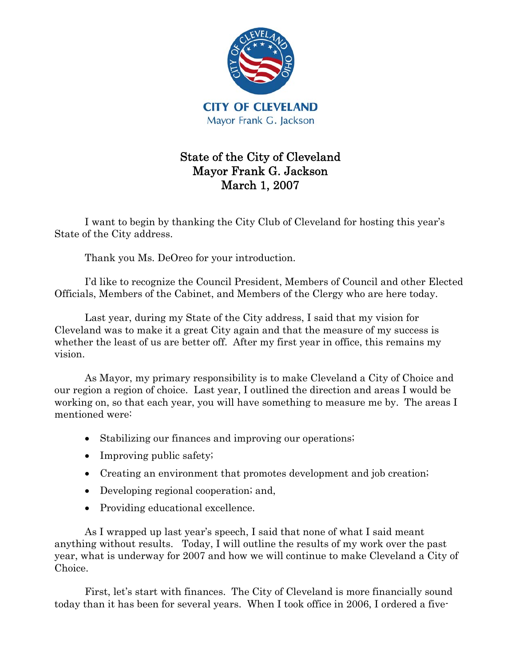

## State of the City of Cleveland Mayor Frank G. Jackson March 1, 2007

I want to begin by thanking the City Club of Cleveland for hosting this year's State of the City address.

Thank you Ms. DeOreo for your introduction.

I'd like to recognize the Council President, Members of Council and other Elected Officials, Members of the Cabinet, and Members of the Clergy who are here today.

Last year, during my State of the City address, I said that my vision for Cleveland was to make it a great City again and that the measure of my success is whether the least of us are better off. After my first year in office, this remains my vision.

As Mayor, my primary responsibility is to make Cleveland a City of Choice and our region a region of choice. Last year, I outlined the direction and areas I would be working on, so that each year, you will have something to measure me by. The areas I mentioned were:

- Stabilizing our finances and improving our operations;
- Improving public safety;
- Creating an environment that promotes development and job creation;
- Developing regional cooperation; and,
- Providing educational excellence.

As I wrapped up last year's speech, I said that none of what I said meant anything without results. Today, I will outline the results of my work over the past year, what is underway for 2007 and how we will continue to make Cleveland a City of Choice.

First, let's start with finances. The City of Cleveland is more financially sound today than it has been for several years. When I took office in 2006, I ordered a five-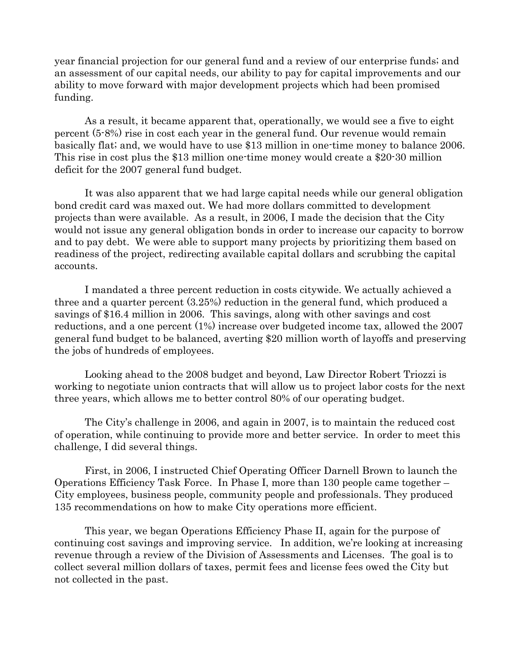year financial projection for our general fund and a review of our enterprise funds; and an assessment of our capital needs, our ability to pay for capital improvements and our ability to move forward with major development projects which had been promised funding.

As a result, it became apparent that, operationally, we would see a five to eight percent (5-8%) rise in cost each year in the general fund. Our revenue would remain basically flat; and, we would have to use \$13 million in one-time money to balance 2006. This rise in cost plus the \$13 million one-time money would create a \$20-30 million deficit for the 2007 general fund budget.

It was also apparent that we had large capital needs while our general obligation bond credit card was maxed out. We had more dollars committed to development projects than were available. As a result, in 2006, I made the decision that the City would not issue any general obligation bonds in order to increase our capacity to borrow and to pay debt. We were able to support many projects by prioritizing them based on readiness of the project, redirecting available capital dollars and scrubbing the capital accounts.

I mandated a three percent reduction in costs citywide. We actually achieved a three and a quarter percent (3.25%) reduction in the general fund, which produced a savings of \$16.4 million in 2006. This savings, along with other savings and cost reductions, and a one percent (1%) increase over budgeted income tax, allowed the 2007 general fund budget to be balanced, averting \$20 million worth of layoffs and preserving the jobs of hundreds of employees.

Looking ahead to the 2008 budget and beyond, Law Director Robert Triozzi is working to negotiate union contracts that will allow us to project labor costs for the next three years, which allows me to better control 80% of our operating budget.

The City's challenge in 2006, and again in 2007, is to maintain the reduced cost of operation, while continuing to provide more and better service. In order to meet this challenge, I did several things.

First, in 2006, I instructed Chief Operating Officer Darnell Brown to launch the Operations Efficiency Task Force. In Phase I, more than 130 people came together – City employees, business people, community people and professionals. They produced 135 recommendations on how to make City operations more efficient.

This year, we began Operations Efficiency Phase II, again for the purpose of continuing cost savings and improving service. In addition, we're looking at increasing revenue through a review of the Division of Assessments and Licenses. The goal is to collect several million dollars of taxes, permit fees and license fees owed the City but not collected in the past.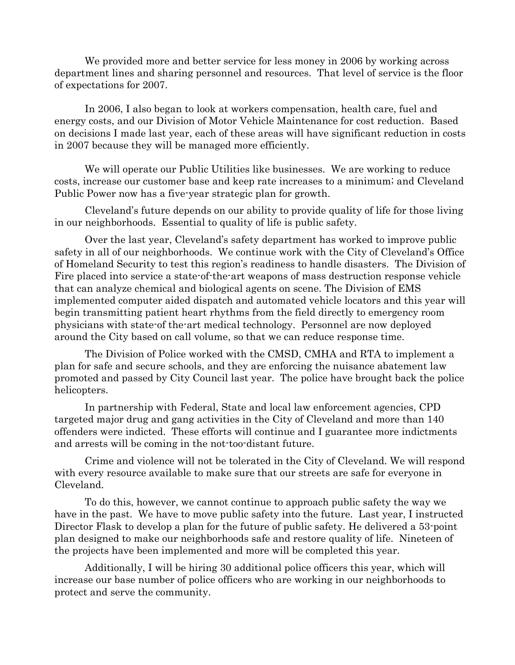We provided more and better service for less money in 2006 by working across department lines and sharing personnel and resources. That level of service is the floor of expectations for 2007.

In 2006, I also began to look at workers compensation, health care, fuel and energy costs, and our Division of Motor Vehicle Maintenance for cost reduction. Based on decisions I made last year, each of these areas will have significant reduction in costs in 2007 because they will be managed more efficiently.

We will operate our Public Utilities like businesses. We are working to reduce costs, increase our customer base and keep rate increases to a minimum; and Cleveland Public Power now has a five-year strategic plan for growth.

Cleveland's future depends on our ability to provide quality of life for those living in our neighborhoods. Essential to quality of life is public safety.

Over the last year, Cleveland's safety department has worked to improve public safety in all of our neighborhoods. We continue work with the City of Cleveland's Office of Homeland Security to test this region's readiness to handle disasters. The Division of Fire placed into service a state-of-the-art weapons of mass destruction response vehicle that can analyze chemical and biological agents on scene. The Division of EMS implemented computer aided dispatch and automated vehicle locators and this year will begin transmitting patient heart rhythms from the field directly to emergency room physicians with state-of the-art medical technology. Personnel are now deployed around the City based on call volume, so that we can reduce response time.

The Division of Police worked with the CMSD, CMHA and RTA to implement a plan for safe and secure schools, and they are enforcing the nuisance abatement law promoted and passed by City Council last year. The police have brought back the police helicopters.

In partnership with Federal, State and local law enforcement agencies, CPD targeted major drug and gang activities in the City of Cleveland and more than 140 offenders were indicted. These efforts will continue and I guarantee more indictments and arrests will be coming in the not-too-distant future.

Crime and violence will not be tolerated in the City of Cleveland. We will respond with every resource available to make sure that our streets are safe for everyone in Cleveland.

To do this, however, we cannot continue to approach public safety the way we have in the past. We have to move public safety into the future. Last year, I instructed Director Flask to develop a plan for the future of public safety. He delivered a 53-point plan designed to make our neighborhoods safe and restore quality of life. Nineteen of the projects have been implemented and more will be completed this year.

Additionally, I will be hiring 30 additional police officers this year, which will increase our base number of police officers who are working in our neighborhoods to protect and serve the community.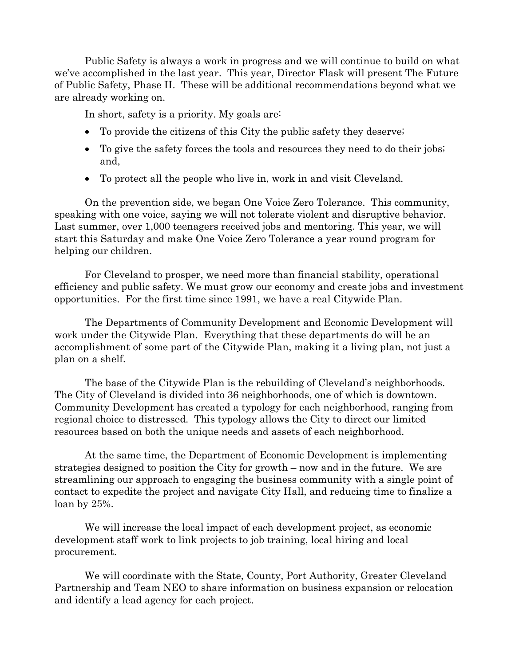Public Safety is always a work in progress and we will continue to build on what we've accomplished in the last year. This year, Director Flask will present The Future of Public Safety, Phase II. These will be additional recommendations beyond what we are already working on.

In short, safety is a priority. My goals are:

- To provide the citizens of this City the public safety they deserve;
- To give the safety forces the tools and resources they need to do their jobs; and,
- To protect all the people who live in, work in and visit Cleveland.

On the prevention side, we began One Voice Zero Tolerance. This community, speaking with one voice, saying we will not tolerate violent and disruptive behavior. Last summer, over 1,000 teenagers received jobs and mentoring. This year, we will start this Saturday and make One Voice Zero Tolerance a year round program for helping our children.

For Cleveland to prosper, we need more than financial stability, operational efficiency and public safety. We must grow our economy and create jobs and investment opportunities. For the first time since 1991, we have a real Citywide Plan.

The Departments of Community Development and Economic Development will work under the Citywide Plan. Everything that these departments do will be an accomplishment of some part of the Citywide Plan, making it a living plan, not just a plan on a shelf.

The base of the Citywide Plan is the rebuilding of Cleveland's neighborhoods. The City of Cleveland is divided into 36 neighborhoods, one of which is downtown. Community Development has created a typology for each neighborhood, ranging from regional choice to distressed. This typology allows the City to direct our limited resources based on both the unique needs and assets of each neighborhood.

At the same time, the Department of Economic Development is implementing strategies designed to position the City for growth – now and in the future. We are streamlining our approach to engaging the business community with a single point of contact to expedite the project and navigate City Hall, and reducing time to finalize a loan by 25%.

We will increase the local impact of each development project, as economic development staff work to link projects to job training, local hiring and local procurement.

We will coordinate with the State, County, Port Authority, Greater Cleveland Partnership and Team NEO to share information on business expansion or relocation and identify a lead agency for each project.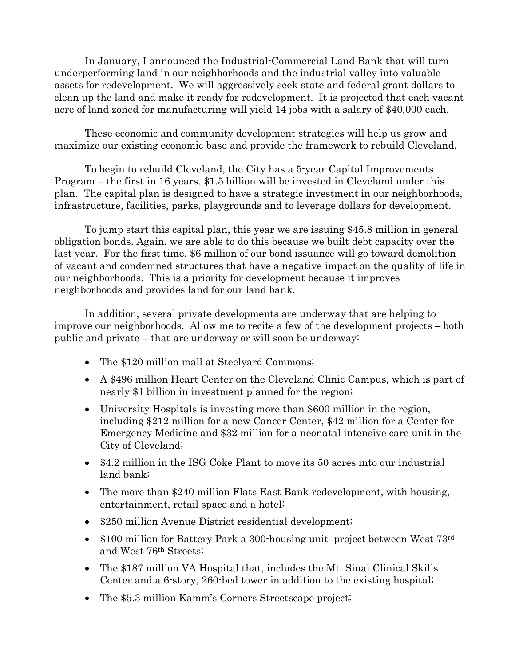In January, I announced the Industrial-Commercial Land Bank that will turn underperforming land in our neighborhoods and the industrial valley into valuable assets for redevelopment. We will aggressively seek state and federal grant dollars to clean up the land and make it ready for redevelopment. It is projected that each vacant acre of land zoned for manufacturing will yield 14 jobs with a salary of \$40,000 each.

These economic and community development strategies will help us grow and maximize our existing economic base and provide the framework to rebuild Cleveland.

To begin to rebuild Cleveland, the City has a 5-year Capital Improvements Program – the first in 16 years. \$1.5 billion will be invested in Cleveland under this plan. The capital plan is designed to have a strategic investment in our neighborhoods, infrastructure, facilities, parks, playgrounds and to leverage dollars for development.

To jump start this capital plan, this year we are issuing \$45.8 million in general obligation bonds. Again, we are able to do this because we built debt capacity over the last year. For the first time, \$6 million of our bond issuance will go toward demolition of vacant and condemned structures that have a negative impact on the quality of life in our neighborhoods. This is a priority for development because it improves neighborhoods and provides land for our land bank.

In addition, several private developments are underway that are helping to improve our neighborhoods. Allow me to recite a few of the development projects – both public and private – that are underway or will soon be underway:

- The \$120 million mall at Steelyard Commons;
- A \$496 million Heart Center on the Cleveland Clinic Campus, which is part of nearly \$1 billion in investment planned for the region;
- University Hospitals is investing more than \$600 million in the region, including \$212 million for a new Cancer Center, \$42 million for a Center for Emergency Medicine and \$32 million for a neonatal intensive care unit in the City of Cleveland;
- \$4.2 million in the ISG Coke Plant to move its 50 acres into our industrial land bank;
- The more than \$240 million Flats East Bank redevelopment, with housing, entertainment, retail space and a hotel;
- \$250 million Avenue District residential development;
- \$100 million for Battery Park a 300-housing unit project between West 73rd and West 76th Streets;
- The \$187 million VA Hospital that, includes the Mt. Sinai Clinical Skills Center and a 6-story, 260-bed tower in addition to the existing hospital;
- The \$5.3 million Kamm's Corners Streetscape project;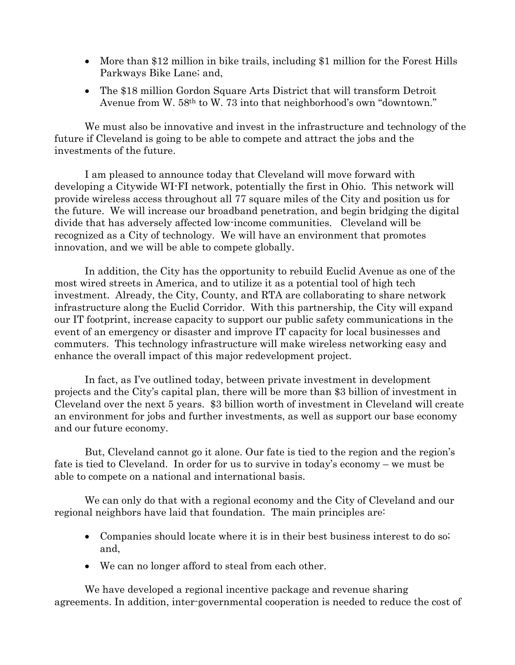- More than \$12 million in bike trails, including \$1 million for the Forest Hills Parkways Bike Lane; and,
- The \$18 million Gordon Square Arts District that will transform Detroit Avenue from W. 58th to W. 73 into that neighborhood's own "downtown."

We must also be innovative and invest in the infrastructure and technology of the future if Cleveland is going to be able to compete and attract the jobs and the investments of the future.

I am pleased to announce today that Cleveland will move forward with developing a Citywide WI-FI network, potentially the first in Ohio. This network will provide wireless access throughout all 77 square miles of the City and position us for the future. We will increase our broadband penetration, and begin bridging the digital divide that has adversely affected low-income communities. Cleveland will be recognized as a City of technology. We will have an environment that promotes innovation, and we will be able to compete globally.

In addition, the City has the opportunity to rebuild Euclid Avenue as one of the most wired streets in America, and to utilize it as a potential tool of high tech investment. Already, the City, County, and RTA are collaborating to share network infrastructure along the Euclid Corridor. With this partnership, the City will expand our IT footprint, increase capacity to support our public safety communications in the event of an emergency or disaster and improve IT capacity for local businesses and commuters. This technology infrastructure will make wireless networking easy and enhance the overall impact of this major redevelopment project.

In fact, as I've outlined today, between private investment in development projects and the City's capital plan, there will be more than \$3 billion of investment in Cleveland over the next 5 years. \$3 billion worth of investment in Cleveland will create an environment for jobs and further investments, as well as support our base economy and our future economy.

But, Cleveland cannot go it alone. Our fate is tied to the region and the region's fate is tied to Cleveland. In order for us to survive in today's economy – we must be able to compete on a national and international basis.

We can only do that with a regional economy and the City of Cleveland and our regional neighbors have laid that foundation. The main principles are:

- Companies should locate where it is in their best business interest to do so; and,
- We can no longer afford to steal from each other.

We have developed a regional incentive package and revenue sharing agreements. In addition, inter-governmental cooperation is needed to reduce the cost of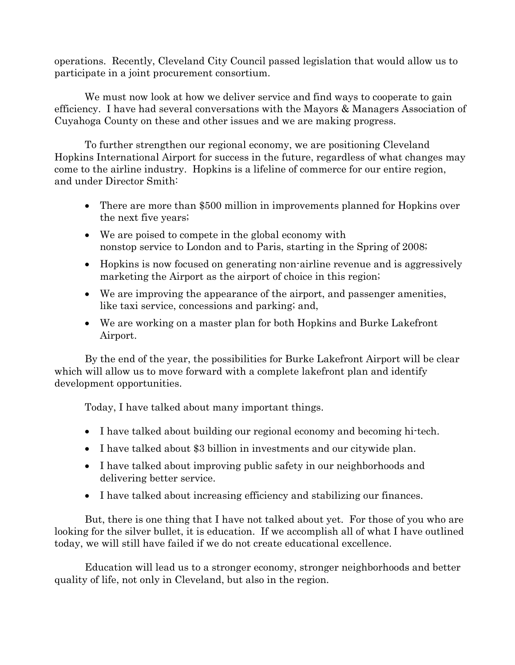operations. Recently, Cleveland City Council passed legislation that would allow us to participate in a joint procurement consortium.

We must now look at how we deliver service and find ways to cooperate to gain efficiency. I have had several conversations with the Mayors & Managers Association of Cuyahoga County on these and other issues and we are making progress.

To further strengthen our regional economy, we are positioning Cleveland Hopkins International Airport for success in the future, regardless of what changes may come to the airline industry. Hopkins is a lifeline of commerce for our entire region, and under Director Smith:

- There are more than \$500 million in improvements planned for Hopkins over the next five years;
- We are poised to compete in the global economy with nonstop service to London and to Paris, starting in the Spring of 2008;
- Hopkins is now focused on generating non-airline revenue and is aggressively marketing the Airport as the airport of choice in this region;
- We are improving the appearance of the airport, and passenger amenities, like taxi service, concessions and parking; and,
- We are working on a master plan for both Hopkins and Burke Lakefront Airport.

By the end of the year, the possibilities for Burke Lakefront Airport will be clear which will allow us to move forward with a complete lakefront plan and identify development opportunities.

Today, I have talked about many important things.

- I have talked about building our regional economy and becoming hi-tech.
- I have talked about \$3 billion in investments and our citywide plan.
- I have talked about improving public safety in our neighborhoods and delivering better service.
- I have talked about increasing efficiency and stabilizing our finances.

But, there is one thing that I have not talked about yet. For those of you who are looking for the silver bullet, it is education. If we accomplish all of what I have outlined today, we will still have failed if we do not create educational excellence.

Education will lead us to a stronger economy, stronger neighborhoods and better quality of life, not only in Cleveland, but also in the region.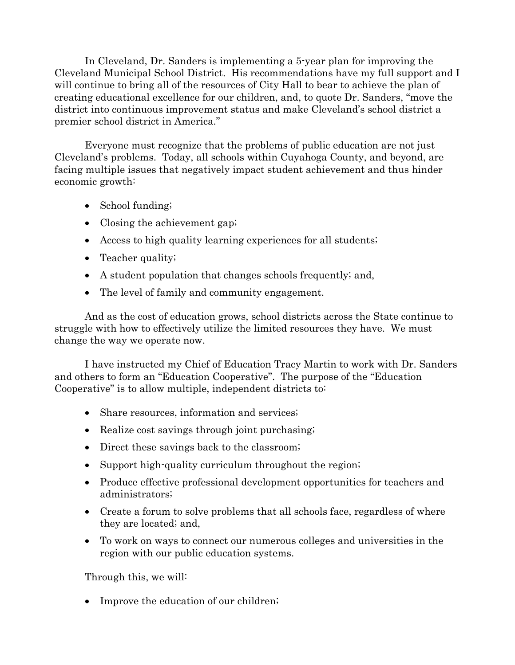In Cleveland, Dr. Sanders is implementing a 5-year plan for improving the Cleveland Municipal School District. His recommendations have my full support and I will continue to bring all of the resources of City Hall to bear to achieve the plan of creating educational excellence for our children, and, to quote Dr. Sanders, "move the district into continuous improvement status and make Cleveland's school district a premier school district in America."

Everyone must recognize that the problems of public education are not just Cleveland's problems. Today, all schools within Cuyahoga County, and beyond, are facing multiple issues that negatively impact student achievement and thus hinder economic growth:

- School funding;
- Closing the achievement gap;
- Access to high quality learning experiences for all students;
- Teacher quality;
- A student population that changes schools frequently; and,
- The level of family and community engagement.

And as the cost of education grows, school districts across the State continue to struggle with how to effectively utilize the limited resources they have. We must change the way we operate now.

I have instructed my Chief of Education Tracy Martin to work with Dr. Sanders and others to form an "Education Cooperative". The purpose of the "Education Cooperative" is to allow multiple, independent districts to:

- Share resources, information and services;
- Realize cost savings through joint purchasing;
- Direct these savings back to the classroom;
- Support high-quality curriculum throughout the region;
- Produce effective professional development opportunities for teachers and administrators;
- Create a forum to solve problems that all schools face, regardless of where they are located; and,
- To work on ways to connect our numerous colleges and universities in the region with our public education systems.

Through this, we will:

• Improve the education of our children;